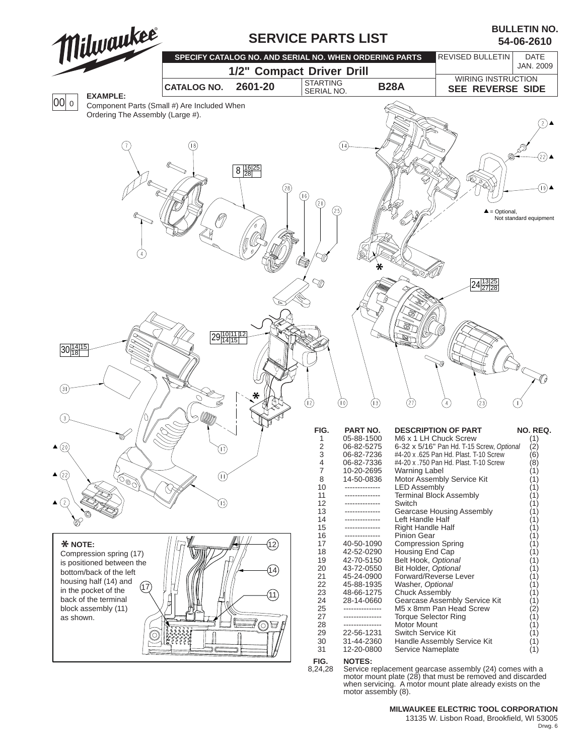

## **MILWAUKEE ELECTRIC TOOL CORPORATION**